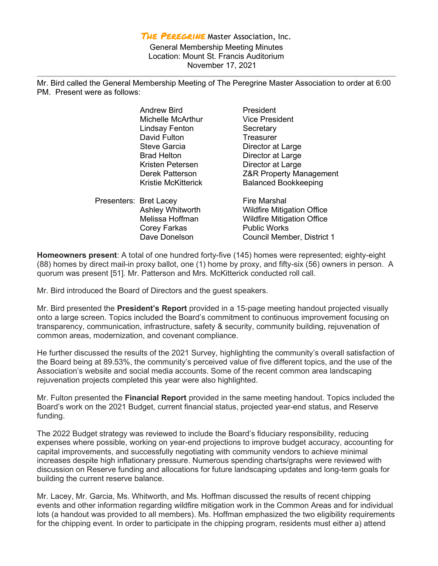THE PEREGRINE Master Association, Inc. General Membership Meeting Minutes Location: Mount St. Francis Auditorium November 17, 2021

Mr. Bird called the General Membership Meeting of The Peregrine Master Association to order at 6:00 PM. Present were as follows:

|                        | <b>Andrew Bird</b>  | President                          |
|------------------------|---------------------|------------------------------------|
|                        | Michelle McArthur   | <b>Vice President</b>              |
|                        | Lindsay Fenton      | Secretary                          |
|                        | David Fulton        | Treasurer                          |
|                        | <b>Steve Garcia</b> | Director at Large                  |
|                        | <b>Brad Helton</b>  | Director at Large                  |
|                        | Kristen Petersen    | Director at Large                  |
|                        | Derek Patterson     | <b>Z&amp;R Property Management</b> |
|                        | Kristie McKitterick | <b>Balanced Bookkeeping</b>        |
| Presenters: Bret Lacey |                     | <b>Fire Marshal</b>                |
|                        | Ashley Whitworth    | <b>Wildfire Mitigation Office</b>  |
|                        | Melissa Hoffman     | <b>Wildfire Mitigation Office</b>  |
|                        | Corey Farkas        | <b>Public Works</b>                |
|                        | Dave Donelson       | Council Member, District 1         |
|                        |                     |                                    |

Homeowners present: A total of one hundred forty-five (145) homes were represented; eighty-eight (88) homes by direct mail-in proxy ballot, one (1) home by proxy, and fifty-six (56) owners in person. A quorum was present [51]. Mr. Patterson and Mrs. McKitterick conducted roll call.

Mr. Bird introduced the Board of Directors and the guest speakers.

Mr. Bird presented the **President's Report** provided in a 15-page meeting handout projected visually onto a large screen. Topics included the Board's commitment to continuous improvement focusing on transparency, communication, infrastructure, safety & security, community building, rejuvenation of common areas, modernization, and covenant compliance.

He further discussed the results of the 2021 Survey, highlighting the community's overall satisfaction of the Board being at 89.53%, the community's perceived value of five different topics, and the use of the Association's website and social media accounts. Some of the recent common area landscaping rejuvenation projects completed this year were also highlighted.

Mr. Fulton presented the **Financial Report** provided in the same meeting handout. Topics included the Board's work on the 2021 Budget, current financial status, projected year-end status, and Reserve funding.

The 2022 Budget strategy was reviewed to include the Board's fiduciary responsibility, reducing expenses where possible, working on year-end projections to improve budget accuracy, accounting for capital improvements, and successfully negotiating with community vendors to achieve minimal increases despite high inflationary pressure. Numerous spending charts/graphs were reviewed with discussion on Reserve funding and allocations for future landscaping updates and long-term goals for building the current reserve balance.

Mr. Lacey, Mr. Garcia, Ms. Whitworth, and Ms. Hoffman discussed the results of recent chipping events and other information regarding wildfire mitigation work in the Common Areas and for individual lots (a handout was provided to all members). Ms. Hoffman emphasized the two eligibility requirements for the chipping event. In order to participate in the chipping program, residents must either a) attend